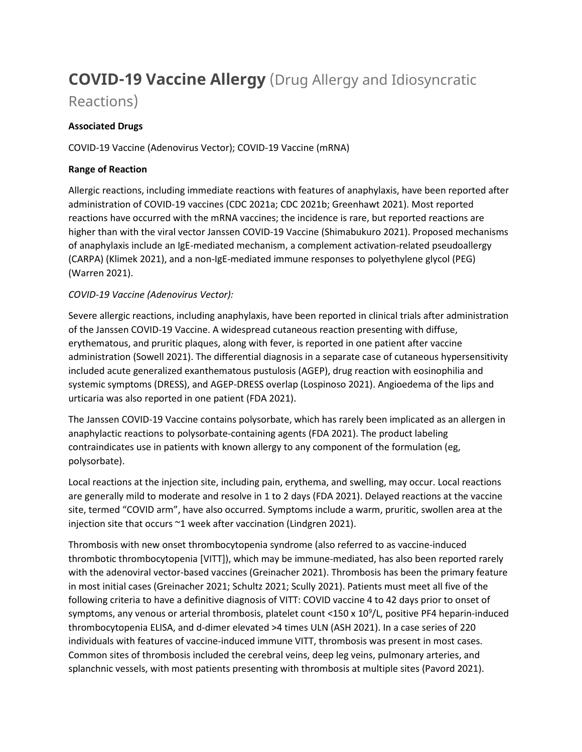# **COVID-19 Vaccine Allergy** (Drug Allergy and Idiosyncratic

# Reactions)

# **Associated Drugs**

COVID-19 Vaccine (Adenovirus Vector); COVID-19 Vaccine (mRNA)

# **Range of Reaction**

Allergic reactions, including immediate reactions with features of anaphylaxis, have been reported after administration of COVID-19 vaccines (CDC 2021a; CDC 2021b; Greenhawt 2021). Most reported reactions have occurred with the mRNA vaccines; the incidence is rare, but reported reactions are higher than with the viral vector Janssen COVID-19 Vaccine (Shimabukuro 2021). Proposed mechanisms of anaphylaxis include an IgE-mediated mechanism, a complement activation-related pseudoallergy (CARPA) (Klimek 2021), and a non-IgE-mediated immune responses to polyethylene glycol (PEG) (Warren 2021).

# *COVID-19 Vaccine (Adenovirus Vector):*

Severe allergic reactions, including anaphylaxis, have been reported in clinical trials after administration of the Janssen COVID-19 Vaccine. A widespread cutaneous reaction presenting with diffuse, erythematous, and pruritic plaques, along with fever, is reported in one patient after vaccine administration (Sowell 2021). The differential diagnosis in a separate case of cutaneous hypersensitivity included acute generalized exanthematous pustulosis (AGEP), drug reaction with eosinophilia and systemic symptoms (DRESS), and AGEP-DRESS overlap (Lospinoso 2021). Angioedema of the lips and urticaria was also reported in one patient (FDA 2021).

The Janssen COVID-19 Vaccine contains polysorbate, which has rarely been implicated as an allergen in anaphylactic reactions to polysorbate-containing agents (FDA 2021). The product labeling contraindicates use in patients with known allergy to any component of the formulation (eg, polysorbate).

Local reactions at the injection site, including pain, erythema, and swelling, may occur. Local reactions are generally mild to moderate and resolve in 1 to 2 days (FDA 2021). Delayed reactions at the vaccine site, termed "COVID arm", have also occurred. Symptoms include a warm, pruritic, swollen area at the injection site that occurs ~1 week after vaccination (Lindgren 2021).

Thrombosis with new onset thrombocytopenia syndrome (also referred to as vaccine-induced thrombotic thrombocytopenia [VITT]), which may be immune-mediated, has also been reported rarely with the adenoviral vector-based vaccines (Greinacher 2021). Thrombosis has been the primary feature in most initial cases (Greinacher 2021; Schultz 2021; Scully 2021). Patients must meet all five of the following criteria to have a definitive diagnosis of VITT: COVID vaccine 4 to 42 days prior to onset of symptoms, any venous or arterial thrombosis, platelet count <150 x 10<sup>9</sup>/L, positive PF4 heparin-induced thrombocytopenia ELISA, and d-dimer elevated >4 times ULN (ASH 2021). In a case series of 220 individuals with features of vaccine-induced immune VITT, thrombosis was present in most cases. Common sites of thrombosis included the cerebral veins, deep leg veins, pulmonary arteries, and splanchnic vessels, with most patients presenting with thrombosis at multiple sites (Pavord 2021).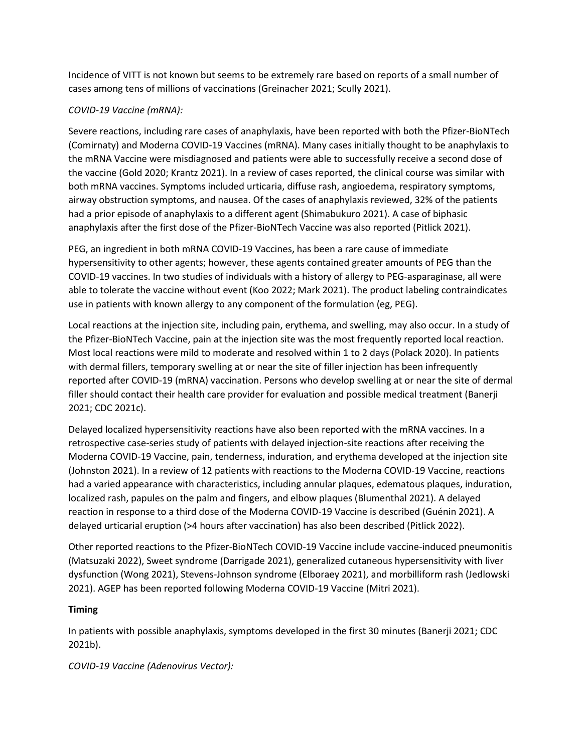Incidence of VITT is not known but seems to be extremely rare based on reports of a small number of cases among tens of millions of vaccinations (Greinacher 2021; Scully 2021).

# *COVID-19 Vaccine (mRNA):*

Severe reactions, including rare cases of anaphylaxis, have been reported with both the Pfizer-BioNTech (Comirnaty) and Moderna COVID-19 Vaccines (mRNA). Many cases initially thought to be anaphylaxis to the mRNA Vaccine were misdiagnosed and patients were able to successfully receive a second dose of the vaccine (Gold 2020; Krantz 2021). In a review of cases reported, the clinical course was similar with both mRNA vaccines. Symptoms included urticaria, diffuse rash, angioedema, respiratory symptoms, airway obstruction symptoms, and nausea. Of the cases of anaphylaxis reviewed, 32% of the patients had a prior episode of anaphylaxis to a different agent (Shimabukuro 2021). A case of biphasic anaphylaxis after the first dose of the Pfizer-BioNTech Vaccine was also reported (Pitlick 2021).

PEG, an ingredient in both mRNA COVID-19 Vaccines, has been a rare cause of immediate hypersensitivity to other agents; however, these agents contained greater amounts of PEG than the COVID-19 vaccines. In two studies of individuals with a history of allergy to PEG-asparaginase, all were able to tolerate the vaccine without event (Koo 2022; Mark 2021). The product labeling contraindicates use in patients with known allergy to any component of the formulation (eg, PEG).

Local reactions at the injection site, including pain, erythema, and swelling, may also occur. In a study of the Pfizer-BioNTech Vaccine, pain at the injection site was the most frequently reported local reaction. Most local reactions were mild to moderate and resolved within 1 to 2 days (Polack 2020). In patients with dermal fillers, temporary swelling at or near the site of filler injection has been infrequently reported after COVID-19 (mRNA) vaccination. Persons who develop swelling at or near the site of dermal filler should contact their health care provider for evaluation and possible medical treatment (Banerji 2021; CDC 2021c).

Delayed localized hypersensitivity reactions have also been reported with the mRNA vaccines. In a retrospective case-series study of patients with delayed injection-site reactions after receiving the Moderna COVID-19 Vaccine, pain, tenderness, induration, and erythema developed at the injection site (Johnston 2021). In a review of 12 patients with reactions to the Moderna COVID-19 Vaccine, reactions had a varied appearance with characteristics, including annular plaques, edematous plaques, induration, localized rash, papules on the palm and fingers, and elbow plaques (Blumenthal 2021). A delayed reaction in response to a third dose of the Moderna COVID-19 Vaccine is described (Guénin 2021). A delayed urticarial eruption (>4 hours after vaccination) has also been described (Pitlick 2022).

Other reported reactions to the Pfizer-BioNTech COVID-19 Vaccine include vaccine-induced pneumonitis (Matsuzaki 2022), Sweet syndrome (Darrigade 2021), generalized cutaneous hypersensitivity with liver dysfunction (Wong 2021), Stevens-Johnson syndrome (Elboraey 2021), and morbilliform rash (Jedlowski 2021). AGEP has been reported following Moderna COVID-19 Vaccine (Mitri 2021).

#### **Timing**

In patients with possible anaphylaxis, symptoms developed in the first 30 minutes (Banerji 2021; CDC 2021b).

*COVID-19 Vaccine (Adenovirus Vector):*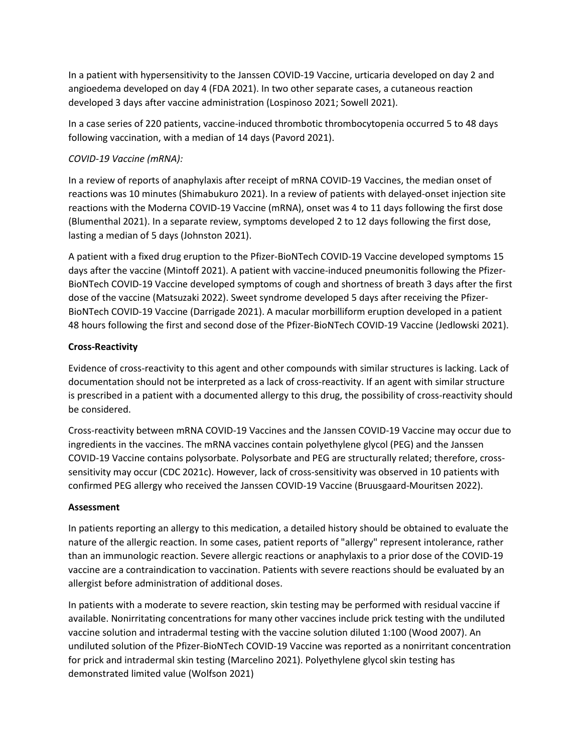In a patient with hypersensitivity to the Janssen COVID-19 Vaccine, urticaria developed on day 2 and angioedema developed on day 4 (FDA 2021). In two other separate cases, a cutaneous reaction developed 3 days after vaccine administration (Lospinoso 2021; Sowell 2021).

In a case series of 220 patients, vaccine-induced thrombotic thrombocytopenia occurred 5 to 48 days following vaccination, with a median of 14 days (Pavord 2021).

# *COVID-19 Vaccine (mRNA):*

In a review of reports of anaphylaxis after receipt of mRNA COVID-19 Vaccines, the median onset of reactions was 10 minutes (Shimabukuro 2021). In a review of patients with delayed-onset injection site reactions with the Moderna COVID-19 Vaccine (mRNA), onset was 4 to 11 days following the first dose (Blumenthal 2021). In a separate review, symptoms developed 2 to 12 days following the first dose, lasting a median of 5 days (Johnston 2021).

A patient with a fixed drug eruption to the Pfizer-BioNTech COVID-19 Vaccine developed symptoms 15 days after the vaccine (Mintoff 2021). A patient with vaccine-induced pneumonitis following the Pfizer-BioNTech COVID-19 Vaccine developed symptoms of cough and shortness of breath 3 days after the first dose of the vaccine (Matsuzaki 2022). Sweet syndrome developed 5 days after receiving the Pfizer-BioNTech COVID-19 Vaccine (Darrigade 2021). A macular morbilliform eruption developed in a patient 48 hours following the first and second dose of the Pfizer-BioNTech COVID-19 Vaccine (Jedlowski 2021).

# **Cross-Reactivity**

Evidence of cross-reactivity to this agent and other compounds with similar structures is lacking. Lack of documentation should not be interpreted as a lack of cross-reactivity. If an agent with similar structure is prescribed in a patient with a documented allergy to this drug, the possibility of cross-reactivity should be considered.

Cross-reactivity between mRNA COVID-19 Vaccines and the Janssen COVID-19 Vaccine may occur due to ingredients in the vaccines. The mRNA vaccines contain polyethylene glycol (PEG) and the Janssen COVID-19 Vaccine contains polysorbate. Polysorbate and PEG are structurally related; therefore, crosssensitivity may occur (CDC 2021c). However, lack of cross-sensitivity was observed in 10 patients with confirmed PEG allergy who received the Janssen COVID-19 Vaccine (Bruusgaard-Mouritsen 2022).

#### **Assessment**

In patients reporting an allergy to this medication, a detailed history should be obtained to evaluate the nature of the allergic reaction. In some cases, patient reports of "allergy" represent intolerance, rather than an immunologic reaction. Severe allergic reactions or anaphylaxis to a prior dose of the COVID-19 vaccine are a contraindication to vaccination. Patients with severe reactions should be evaluated by an allergist before administration of additional doses.

In patients with a moderate to severe reaction, skin testing may be performed with residual vaccine if available. Nonirritating concentrations for many other vaccines include prick testing with the undiluted vaccine solution and intradermal testing with the vaccine solution diluted 1:100 (Wood 2007). An undiluted solution of the Pfizer-BioNTech COVID-19 Vaccine was reported as a nonirritant concentration for prick and intradermal skin testing (Marcelino 2021). Polyethylene glycol skin testing has demonstrated limited value (Wolfson 2021)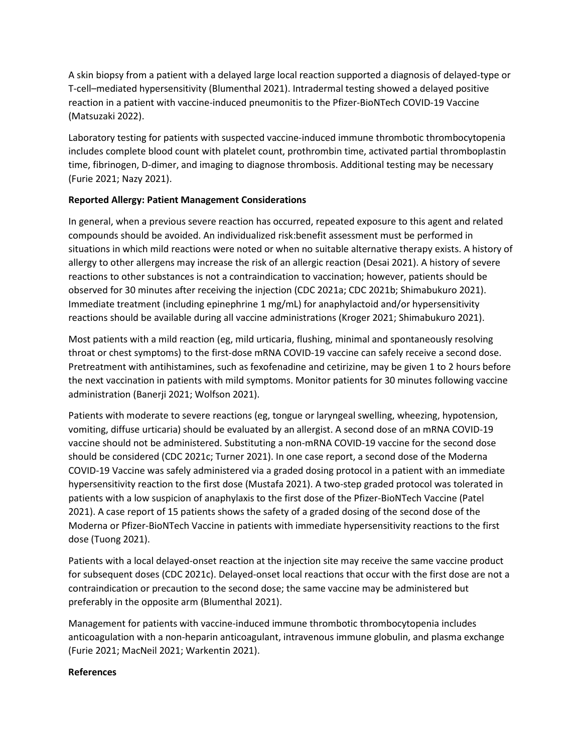A skin biopsy from a patient with a delayed large local reaction supported a diagnosis of delayed-type or T-cell–mediated hypersensitivity (Blumenthal 2021). Intradermal testing showed a delayed positive reaction in a patient with vaccine-induced pneumonitis to the Pfizer-BioNTech COVID-19 Vaccine (Matsuzaki 2022).

Laboratory testing for patients with suspected vaccine-induced immune thrombotic thrombocytopenia includes complete blood count with platelet count, prothrombin time, activated partial thromboplastin time, fibrinogen, D-dimer, and imaging to diagnose thrombosis. Additional testing may be necessary (Furie 2021; Nazy 2021).

# **Reported Allergy: Patient Management Considerations**

In general, when a previous severe reaction has occurred, repeated exposure to this agent and related compounds should be avoided. An individualized risk:benefit assessment must be performed in situations in which mild reactions were noted or when no suitable alternative therapy exists. A history of allergy to other allergens may increase the risk of an allergic reaction (Desai 2021). A history of severe reactions to other substances is not a contraindication to vaccination; however, patients should be observed for 30 minutes after receiving the injection (CDC 2021a; CDC 2021b; Shimabukuro 2021). Immediate treatment (including epinephrine 1 mg/mL) for anaphylactoid and/or hypersensitivity reactions should be available during all vaccine administrations (Kroger 2021; Shimabukuro 2021).

Most patients with a mild reaction (eg, mild urticaria, flushing, minimal and spontaneously resolving throat or chest symptoms) to the first-dose mRNA COVID-19 vaccine can safely receive a second dose. Pretreatment with antihistamines, such as fexofenadine and cetirizine, may be given 1 to 2 hours before the next vaccination in patients with mild symptoms. Monitor patients for 30 minutes following vaccine administration (Banerji 2021; Wolfson 2021).

Patients with moderate to severe reactions (eg, tongue or laryngeal swelling, wheezing, hypotension, vomiting, diffuse urticaria) should be evaluated by an allergist. A second dose of an mRNA COVID-19 vaccine should not be administered. Substituting a non-mRNA COVID-19 vaccine for the second dose should be considered (CDC 2021c; Turner 2021). In one case report, a second dose of the Moderna COVID-19 Vaccine was safely administered via a graded dosing protocol in a patient with an immediate hypersensitivity reaction to the first dose (Mustafa 2021). A two-step graded protocol was tolerated in patients with a low suspicion of anaphylaxis to the first dose of the Pfizer-BioNTech Vaccine (Patel 2021). A case report of 15 patients shows the safety of a graded dosing of the second dose of the Moderna or Pfizer-BioNTech Vaccine in patients with immediate hypersensitivity reactions to the first dose (Tuong 2021).

Patients with a local delayed-onset reaction at the injection site may receive the same vaccine product for subsequent doses (CDC 2021c). Delayed-onset local reactions that occur with the first dose are not a contraindication or precaution to the second dose; the same vaccine may be administered but preferably in the opposite arm (Blumenthal 2021).

Management for patients with vaccine-induced immune thrombotic thrombocytopenia includes anticoagulation with a non-heparin anticoagulant, intravenous immune globulin, and plasma exchange (Furie 2021; MacNeil 2021; Warkentin 2021).

#### **References**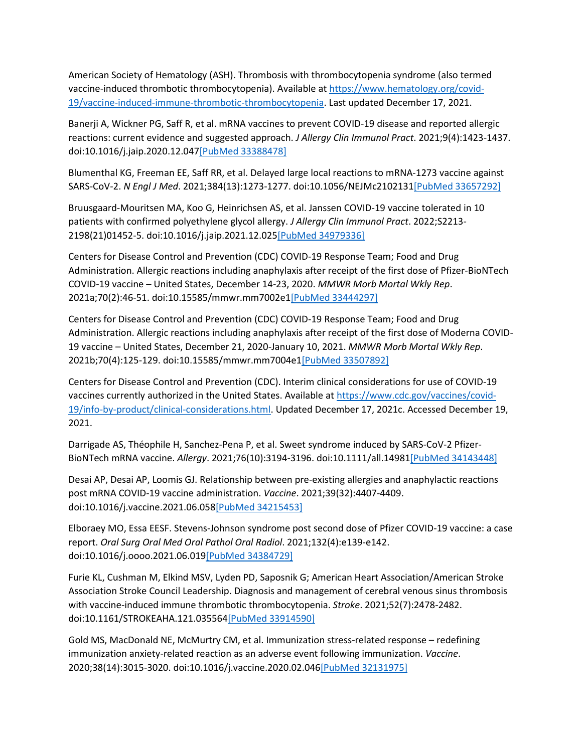American Society of Hematology (ASH). Thrombosis with thrombocytopenia syndrome (also termed vaccine-induced thrombotic thrombocytopenia). Available at [https://www.hematology.org/covid-](https://www.hematology.org/covid-19/vaccine-induced-immune-thrombotic-thrombocytopenia)[19/vaccine-induced-immune-thrombotic-thrombocytopenia.](https://www.hematology.org/covid-19/vaccine-induced-immune-thrombotic-thrombocytopenia) Last updated December 17, 2021.

Banerji A, Wickner PG, Saff R, et al. mRNA vaccines to prevent COVID-19 disease and reported allergic reactions: current evidence and suggested approach. *J Allergy Clin Immunol Pract*. 2021;9(4):1423-1437. doi:10.1016/j.jaip.2020.12.04[7\[PubMed 33388478\]](https://www.ncbi.nlm.nih.gov/entrez/query.fcgi?cmd=Retrieve&db=pubmed&dopt=Abstract&list_uids=33388478)

Blumenthal KG, Freeman EE, Saff RR, et al. Delayed large local reactions to mRNA-1273 vaccine against SARS-CoV-2. *N Engl J Med*. 2021;384(13):1273-1277. doi:10.1056/NEJMc210213[1\[PubMed 33657292\]](https://www.ncbi.nlm.nih.gov/entrez/query.fcgi?cmd=Retrieve&db=pubmed&dopt=Abstract&list_uids=33657292)

Bruusgaard-Mouritsen MA, Koo G, Heinrichsen AS, et al. Janssen COVID-19 vaccine tolerated in 10 patients with confirmed polyethylene glycol allergy. *J Allergy Clin Immunol Pract*. 2022;S2213- 2198(21)01452-5. doi:10.1016/j.jaip.2021.12.02[5\[PubMed 34979336\]](https://www.ncbi.nlm.nih.gov/entrez/query.fcgi?cmd=Retrieve&db=pubmed&dopt=Abstract&list_uids=34979336)

Centers for Disease Control and Prevention (CDC) COVID-19 Response Team; Food and Drug Administration. Allergic reactions including anaphylaxis after receipt of the first dose of Pfizer-BioNTech COVID-19 vaccine – United States, December 14-23, 2020. *MMWR Morb Mortal Wkly Rep*. 2021a;70(2):46-51. doi:10.15585/mmwr.mm7002e[1\[PubMed 33444297\]](https://www.ncbi.nlm.nih.gov/entrez/query.fcgi?cmd=Retrieve&db=pubmed&dopt=Abstract&list_uids=33444297)

Centers for Disease Control and Prevention (CDC) COVID-19 Response Team; Food and Drug Administration. Allergic reactions including anaphylaxis after receipt of the first dose of Moderna COVID-19 vaccine – United States, December 21, 2020-January 10, 2021. *MMWR Morb Mortal Wkly Rep*. 2021b;70(4):125-129. doi:10.15585/mmwr.mm7004e[1\[PubMed 33507892\]](https://www.ncbi.nlm.nih.gov/entrez/query.fcgi?cmd=Retrieve&db=pubmed&dopt=Abstract&list_uids=33507892)

Centers for Disease Control and Prevention (CDC). Interim clinical considerations for use of COVID-19 vaccines currently authorized in the United States. Available at [https://www.cdc.gov/vaccines/covid-](https://www.cdc.gov/vaccines/covid-19/info-by-product/clinical-considerations.html)[19/info-by-product/clinical-considerations.html.](https://www.cdc.gov/vaccines/covid-19/info-by-product/clinical-considerations.html) Updated December 17, 2021c. Accessed December 19, 2021.

Darrigade AS, Théophile H, Sanchez-Pena P, et al. Sweet syndrome induced by SARS-CoV-2 Pfizer-BioNTech mRNA vaccine. *Allergy*. 2021;76(10):3194-3196. doi:10.1111/all.1498[1\[PubMed 34143448\]](https://www.ncbi.nlm.nih.gov/entrez/query.fcgi?cmd=Retrieve&db=pubmed&dopt=Abstract&list_uids=34143448)

Desai AP, Desai AP, Loomis GJ. Relationship between pre-existing allergies and anaphylactic reactions post mRNA COVID-19 vaccine administration. *Vaccine*. 2021;39(32):4407-4409. doi:10.1016/j.vaccine.2021.06.05[8\[PubMed 34215453\]](https://www.ncbi.nlm.nih.gov/entrez/query.fcgi?cmd=Retrieve&db=pubmed&dopt=Abstract&list_uids=34215453)

Elboraey MO, Essa EESF. Stevens-Johnson syndrome post second dose of Pfizer COVID-19 vaccine: a case report. *Oral Surg Oral Med Oral Pathol Oral Radiol*. 2021;132(4):e139-e142. doi:10.1016/j.oooo.2021.06.01[9\[PubMed 34384729\]](https://www.ncbi.nlm.nih.gov/entrez/query.fcgi?cmd=Retrieve&db=pubmed&dopt=Abstract&list_uids=34384729)

Furie KL, Cushman M, Elkind MSV, Lyden PD, Saposnik G; American Heart Association/American Stroke Association Stroke Council Leadership. Diagnosis and management of cerebral venous sinus thrombosis with vaccine-induced immune thrombotic thrombocytopenia. *Stroke*. 2021;52(7):2478-2482. doi:10.1161/STROKEAHA.121.03556[4\[PubMed 33914590\]](https://www.ncbi.nlm.nih.gov/entrez/query.fcgi?cmd=Retrieve&db=pubmed&dopt=Abstract&list_uids=33914590)

Gold MS, MacDonald NE, McMurtry CM, et al. Immunization stress-related response – redefining immunization anxiety-related reaction as an adverse event following immunization. *Vaccine*. 2020;38(14):3015-3020. doi:10.1016/j.vaccine.2020.02.04[6\[PubMed 32131975\]](https://www.ncbi.nlm.nih.gov/entrez/query.fcgi?cmd=Retrieve&db=pubmed&dopt=Abstract&list_uids=32131975)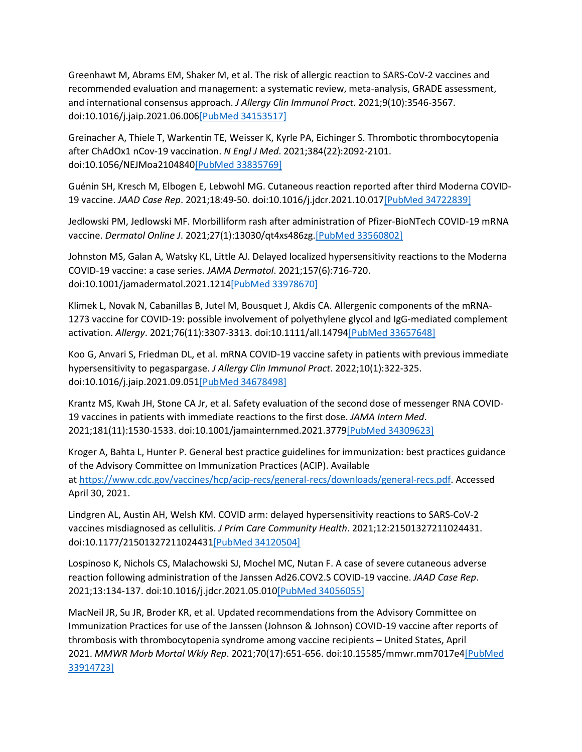Greenhawt M, Abrams EM, Shaker M, et al. The risk of allergic reaction to SARS-CoV-2 vaccines and recommended evaluation and management: a systematic review, meta-analysis, GRADE assessment, and international consensus approach. *J Allergy Clin Immunol Pract*. 2021;9(10):3546-3567. doi:10.1016/j.jaip.2021.06.00[6\[PubMed 34153517\]](https://www.ncbi.nlm.nih.gov/entrez/query.fcgi?cmd=Retrieve&db=pubmed&dopt=Abstract&list_uids=34153517)

Greinacher A, Thiele T, Warkentin TE, Weisser K, Kyrle PA, Eichinger S. Thrombotic thrombocytopenia after ChAdOx1 nCov-19 vaccination. *N Engl J Med*. 2021;384(22):2092-2101. doi:10.1056/NEJMoa210484[0\[PubMed 33835769\]](https://www.ncbi.nlm.nih.gov/entrez/query.fcgi?cmd=Retrieve&db=pubmed&dopt=Abstract&list_uids=33835769)

Guénin SH, Kresch M, Elbogen E, Lebwohl MG. Cutaneous reaction reported after third Moderna COVID-19 vaccine. *JAAD Case Rep*. 2021;18:49-50. doi:10.1016/j.jdcr.2021.10.01[7\[PubMed 34722839\]](https://www.ncbi.nlm.nih.gov/entrez/query.fcgi?cmd=Retrieve&db=pubmed&dopt=Abstract&list_uids=34722839)

Jedlowski PM, Jedlowski MF. Morbilliform rash after administration of Pfizer-BioNTech COVID-19 mRNA vaccine. *Dermatol Online J*. 2021;27(1):13030/qt4xs486zg[.\[PubMed 33560802\]](https://www.ncbi.nlm.nih.gov/entrez/query.fcgi?cmd=Retrieve&db=pubmed&dopt=Abstract&list_uids=33560802)

Johnston MS, Galan A, Watsky KL, Little AJ. Delayed localized hypersensitivity reactions to the Moderna COVID-19 vaccine: a case series. *JAMA Dermatol*. 2021;157(6):716-720. doi:10.1001/jamadermatol.2021.121[4\[PubMed 33978670\]](https://www.ncbi.nlm.nih.gov/entrez/query.fcgi?cmd=Retrieve&db=pubmed&dopt=Abstract&list_uids=33978670)

Klimek L, Novak N, Cabanillas B, Jutel M, Bousquet J, Akdis CA. Allergenic components of the mRNA-1273 vaccine for COVID-19: possible involvement of polyethylene glycol and IgG-mediated complement activation. *Allergy*. 2021;76(11):3307-3313. doi:10.1111/all.1479[4\[PubMed 33657648\]](https://www.ncbi.nlm.nih.gov/entrez/query.fcgi?cmd=Retrieve&db=pubmed&dopt=Abstract&list_uids=33657648)

Koo G, Anvari S, Friedman DL, et al. mRNA COVID-19 vaccine safety in patients with previous immediate hypersensitivity to pegaspargase. *J Allergy Clin Immunol Pract*. 2022;10(1):322-325. doi:10.1016/j.jaip.2021.09.05[1\[PubMed 34678498\]](https://www.ncbi.nlm.nih.gov/entrez/query.fcgi?cmd=Retrieve&db=pubmed&dopt=Abstract&list_uids=34678498)

Krantz MS, Kwah JH, Stone CA Jr, et al. Safety evaluation of the second dose of messenger RNA COVID-19 vaccines in patients with immediate reactions to the first dose. *JAMA Intern Med*. 2021;181(11):1530-1533. doi:10.1001/jamainternmed.2021.377[9\[PubMed 34309623\]](https://www.ncbi.nlm.nih.gov/entrez/query.fcgi?cmd=Retrieve&db=pubmed&dopt=Abstract&list_uids=34309623)

Kroger A, Bahta L, Hunter P. General best practice guidelines for immunization: best practices guidance of the Advisory Committee on Immunization Practices (ACIP). Available at [https://www.cdc.gov/vaccines/hcp/acip-recs/general-recs/downloads/general-recs.pdf.](https://www.cdc.gov/vaccines/hcp/acip-recs/general-recs/downloads/general-recs.pdf) Accessed April 30, 2021.

Lindgren AL, Austin AH, Welsh KM. COVID arm: delayed hypersensitivity reactions to SARS-CoV-2 vaccines misdiagnosed as cellulitis. *J Prim Care Community Health*. 2021;12:21501327211024431. doi:10.1177/2150132721102443[1\[PubMed 34120504\]](https://www.ncbi.nlm.nih.gov/entrez/query.fcgi?cmd=Retrieve&db=pubmed&dopt=Abstract&list_uids=34120504)

Lospinoso K, Nichols CS, Malachowski SJ, Mochel MC, Nutan F. A case of severe cutaneous adverse reaction following administration of the Janssen Ad26.COV2.S COVID-19 vaccine. *JAAD Case Rep*. 2021;13:134-137. doi:10.1016/j.jdcr.2021.05.01[0\[PubMed 34056055\]](https://www.ncbi.nlm.nih.gov/entrez/query.fcgi?cmd=Retrieve&db=pubmed&dopt=Abstract&list_uids=34056055)

MacNeil JR, Su JR, Broder KR, et al. Updated recommendations from the Advisory Committee on Immunization Practices for use of the Janssen (Johnson & Johnson) COVID-19 vaccine after reports of thrombosis with thrombocytopenia syndrome among vaccine recipients – United States, April 2021. *MMWR Morb Mortal Wkly Rep*. 2021;70(17):651-656. doi:10.15585/mmwr.mm7017e[4\[PubMed](https://www.ncbi.nlm.nih.gov/entrez/query.fcgi?cmd=Retrieve&db=pubmed&dopt=Abstract&list_uids=33914723)  [33914723\]](https://www.ncbi.nlm.nih.gov/entrez/query.fcgi?cmd=Retrieve&db=pubmed&dopt=Abstract&list_uids=33914723)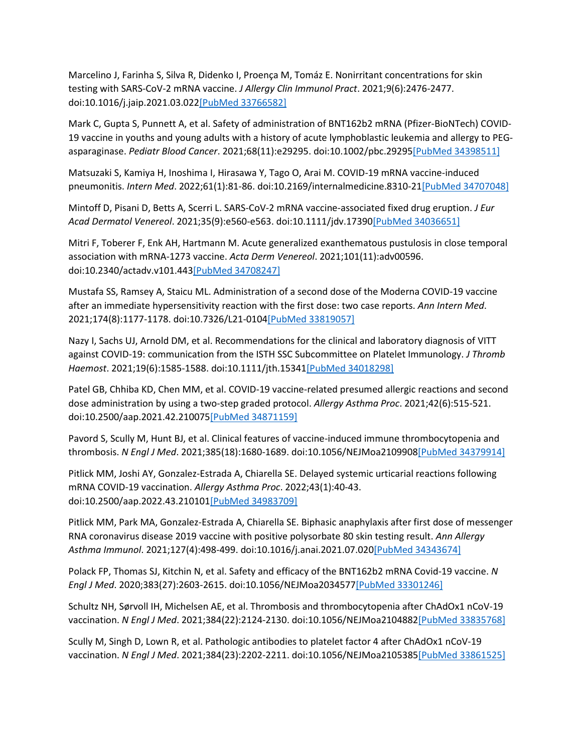Marcelino J, Farinha S, Silva R, Didenko I, Proença M, Tomáz E. Nonirritant concentrations for skin testing with SARS-CoV-2 mRNA vaccine. *J Allergy Clin Immunol Pract*. 2021;9(6):2476-2477. doi:10.1016/j.jaip.2021.03.02[2\[PubMed 33766582\]](https://www.ncbi.nlm.nih.gov/entrez/query.fcgi?cmd=Retrieve&db=pubmed&dopt=Abstract&list_uids=33766582)

Mark C, Gupta S, Punnett A, et al. Safety of administration of BNT162b2 mRNA (Pfizer-BioNTech) COVID-19 vaccine in youths and young adults with a history of acute lymphoblastic leukemia and allergy to PEGasparaginase. *Pediatr Blood Cancer*. 2021;68(11):e29295. doi:10.1002/pbc.2929[5\[PubMed 34398511\]](https://www.ncbi.nlm.nih.gov/entrez/query.fcgi?cmd=Retrieve&db=pubmed&dopt=Abstract&list_uids=34398511)

Matsuzaki S, Kamiya H, Inoshima I, Hirasawa Y, Tago O, Arai M. COVID-19 mRNA vaccine-induced pneumonitis. *Intern Med*. 2022;61(1):81-86. doi:10.2169/internalmedicine.8310-2[1\[PubMed 34707048\]](https://www.ncbi.nlm.nih.gov/entrez/query.fcgi?cmd=Retrieve&db=pubmed&dopt=Abstract&list_uids=34707048)

Mintoff D, Pisani D, Betts A, Scerri L. SARS-CoV-2 mRNA vaccine-associated fixed drug eruption. *J Eur Acad Dermatol Venereol*. 2021;35(9):e560-e563. doi:10.1111/jdv.1739[0\[PubMed 34036651\]](https://www.ncbi.nlm.nih.gov/entrez/query.fcgi?cmd=Retrieve&db=pubmed&dopt=Abstract&list_uids=34036651)

Mitri F, Toberer F, Enk AH, Hartmann M. Acute generalized exanthematous pustulosis in close temporal association with mRNA-1273 vaccine. *Acta Derm Venereol*. 2021;101(11):adv00596. doi:10.2340/actadv.v101.44[3\[PubMed 34708247\]](https://www.ncbi.nlm.nih.gov/entrez/query.fcgi?cmd=Retrieve&db=pubmed&dopt=Abstract&list_uids=34708247)

Mustafa SS, Ramsey A, Staicu ML. Administration of a second dose of the Moderna COVID-19 vaccine after an immediate hypersensitivity reaction with the first dose: two case reports. *Ann Intern Med*. 2021;174(8):1177-1178. doi:10.7326/L21-010[4\[PubMed 33819057\]](https://www.ncbi.nlm.nih.gov/entrez/query.fcgi?cmd=Retrieve&db=pubmed&dopt=Abstract&list_uids=33819057)

Nazy I, Sachs UJ, Arnold DM, et al. Recommendations for the clinical and laboratory diagnosis of VITT against COVID-19: communication from the ISTH SSC Subcommittee on Platelet Immunology. *J Thromb Haemost*. 2021;19(6):1585-1588. doi:10.1111/jth.1534[1\[PubMed 34018298\]](https://www.ncbi.nlm.nih.gov/entrez/query.fcgi?cmd=Retrieve&db=pubmed&dopt=Abstract&list_uids=34018298)

Patel GB, Chhiba KD, Chen MM, et al. COVID-19 vaccine-related presumed allergic reactions and second dose administration by using a two-step graded protocol. *Allergy Asthma Proc*. 2021;42(6):515-521. doi:10.2500/aap.2021.42.21007[5\[PubMed 34871159\]](https://www.ncbi.nlm.nih.gov/entrez/query.fcgi?cmd=Retrieve&db=pubmed&dopt=Abstract&list_uids=34871159)

Pavord S, Scully M, Hunt BJ, et al. Clinical features of vaccine-induced immune thrombocytopenia and thrombosis. *N Engl J Med*. 2021;385(18):1680-1689. doi:10.1056/NEJMoa210990[8\[PubMed 34379914\]](https://www.ncbi.nlm.nih.gov/entrez/query.fcgi?cmd=Retrieve&db=pubmed&dopt=Abstract&list_uids=34379914)

Pitlick MM, Joshi AY, Gonzalez-Estrada A, Chiarella SE. Delayed systemic urticarial reactions following mRNA COVID-19 vaccination. *Allergy Asthma Proc*. 2022;43(1):40-43. doi:10.2500/aap.2022.43.21010[1\[PubMed 34983709\]](https://www.ncbi.nlm.nih.gov/entrez/query.fcgi?cmd=Retrieve&db=pubmed&dopt=Abstract&list_uids=34983709)

Pitlick MM, Park MA, Gonzalez-Estrada A, Chiarella SE. Biphasic anaphylaxis after first dose of messenger RNA coronavirus disease 2019 vaccine with positive polysorbate 80 skin testing result. *Ann Allergy Asthma Immunol*. 2021;127(4):498-499. doi:10.1016/j.anai.2021.07.02[0\[PubMed 34343674\]](https://www.ncbi.nlm.nih.gov/entrez/query.fcgi?cmd=Retrieve&db=pubmed&dopt=Abstract&list_uids=34343674)

Polack FP, Thomas SJ, Kitchin N, et al. Safety and efficacy of the BNT162b2 mRNA Covid-19 vaccine. *N Engl J Med*. 2020;383(27):2603-2615. doi:10.1056/NEJMoa203457[7\[PubMed 33301246\]](https://www.ncbi.nlm.nih.gov/entrez/query.fcgi?cmd=Retrieve&db=pubmed&dopt=Abstract&list_uids=33301246)

Schultz NH, Sørvoll IH, Michelsen AE, et al. Thrombosis and thrombocytopenia after ChAdOx1 nCoV-19 vaccination. *N Engl J Med*. 2021;384(22):2124-2130. doi:10.1056/NEJMoa210488[2\[PubMed 33835768\]](https://www.ncbi.nlm.nih.gov/entrez/query.fcgi?cmd=Retrieve&db=pubmed&dopt=Abstract&list_uids=33835768)

Scully M, Singh D, Lown R, et al. Pathologic antibodies to platelet factor 4 after ChAdOx1 nCoV-19 vaccination. *N Engl J Med*. 2021;384(23):2202-2211. doi:10.1056/NEJMoa210538[5\[PubMed 33861525\]](https://www.ncbi.nlm.nih.gov/entrez/query.fcgi?cmd=Retrieve&db=pubmed&dopt=Abstract&list_uids=33861525)